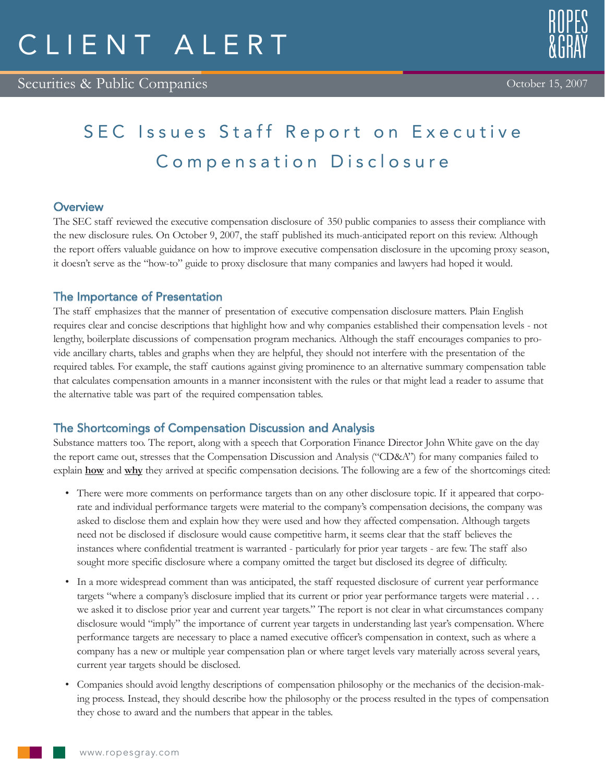# SEC Issues Staff Report on Executive Compensation Disclosure

### **Overview**

The SEC staff reviewed the executive compensation disclosure of 350 public companies to assess their compliance with the new disclosure rules. On October 9, 2007, the staff published its much-anticipated report on this review. Although the report offers valuable guidance on how to improve executive compensation disclosure in the upcoming proxy season, it doesn't serve as the "how-to" guide to proxy disclosure that many companies and lawyers had hoped it would.

### The Importance of Presentation

The staff emphasizes that the manner of presentation of executive compensation disclosure matters. Plain English requires clear and concise descriptions that highlight how and why companies established their compensation levels - not lengthy, boilerplate discussions of compensation program mechanics. Although the staff encourages companies to provide ancillary charts, tables and graphs when they are helpful, they should not interfere with the presentation of the required tables. For example, the staff cautions against giving prominence to an alternative summary compensation table that calculates compensation amounts in a manner inconsistent with the rules or that might lead a reader to assume that the alternative table was part of the required compensation tables.

## The Shortcomings of Compensation Discussion and Analysis

Substance matters too. The report, along with a speech that Corporation Finance Director John White gave on the day the report came out, stresses that the Compensation Discussion and Analysis ("CD&A") for many companies failed to explain **how** and **why** they arrived at specific compensation decisions. The following are a few of the shortcomings cited:

- There were more comments on performance targets than on any other disclosure topic. If it appeared that corporate and individual performance targets were material to the company's compensation decisions, the company was asked to disclose them and explain how they were used and how they affected compensation. Although targets need not be disclosed if disclosure would cause competitive harm, it seems clear that the staff believes the instances where confidential treatment is warranted - particularly for prior year targets - are few. The staff also sought more specific disclosure where a company omitted the target but disclosed its degree of difficulty.
- In a more widespread comment than was anticipated, the staff requested disclosure of current year performance targets "where a company's disclosure implied that its current or prior year performance targets were material . . . we asked it to disclose prior year and current year targets." The report is not clear in what circumstances company disclosure would "imply" the importance of current year targets in understanding last year's compensation. Where performance targets are necessary to place a named executive officer's compensation in context, such as where a company has a new or multiple year compensation plan or where target levels vary materially across several years, current year targets should be disclosed.
- Companies should avoid lengthy descriptions of compensation philosophy or the mechanics of the decision-making process. Instead, they should describe how the philosophy or the process resulted in the types of compensation they chose to award and the numbers that appear in the tables.